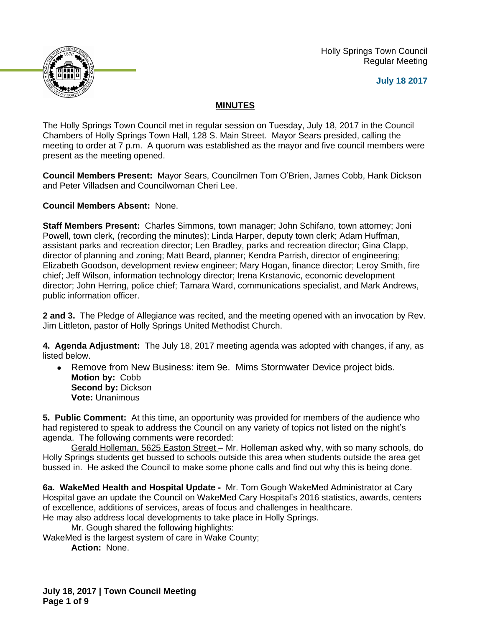Holly Springs Town Council Regular Meeting





## **MINUTES**

The Holly Springs Town Council met in regular session on Tuesday, July 18, 2017 in the Council Chambers of Holly Springs Town Hall, 128 S. Main Street. Mayor Sears presided, calling the meeting to order at 7 p.m. A quorum was established as the mayor and five council members were present as the meeting opened.

**Council Members Present:** Mayor Sears, Councilmen Tom O'Brien, James Cobb, Hank Dickson and Peter Villadsen and Councilwoman Cheri Lee.

**Council Members Absent:** None.

**Staff Members Present:** Charles Simmons, town manager; John Schifano, town attorney; Joni Powell, town clerk, (recording the minutes); Linda Harper, deputy town clerk; Adam Huffman, assistant parks and recreation director; Len Bradley, parks and recreation director; Gina Clapp, director of planning and zoning; Matt Beard, planner; Kendra Parrish, director of engineering; Elizabeth Goodson, development review engineer; Mary Hogan, finance director; Leroy Smith, fire chief; Jeff Wilson, information technology director; Irena Krstanovic, economic development director; John Herring, police chief; Tamara Ward, communications specialist, and Mark Andrews, public information officer.

**2 and 3.** The Pledge of Allegiance was recited, and the meeting opened with an invocation by Rev. Jim Littleton, pastor of Holly Springs United Methodist Church.

**4. Agenda Adjustment:** The July 18, 2017 meeting agenda was adopted with changes, if any, as listed below.

 Remove from New Business: item 9e. Mims Stormwater Device project bids. **Motion by:** Cobb **Second by: Dickson Vote:** Unanimous

**5. Public Comment:** At this time, an opportunity was provided for members of the audience who had registered to speak to address the Council on any variety of topics not listed on the night's agenda. The following comments were recorded:

Gerald Holleman, 5625 Easton Street - Mr. Holleman asked why, with so many schools, do Holly Springs students get bussed to schools outside this area when students outside the area get bussed in. He asked the Council to make some phone calls and find out why this is being done.

**6a. WakeMed Health and Hospital Update -** Mr. Tom Gough WakeMed Administrator at Cary Hospital gave an update the Council on WakeMed Cary Hospital's 2016 statistics, awards, centers of excellence, additions of services, areas of focus and challenges in healthcare. He may also address local developments to take place in Holly Springs.

Mr. Gough shared the following highlights:

WakeMed is the largest system of care in Wake County;

**Action:** None.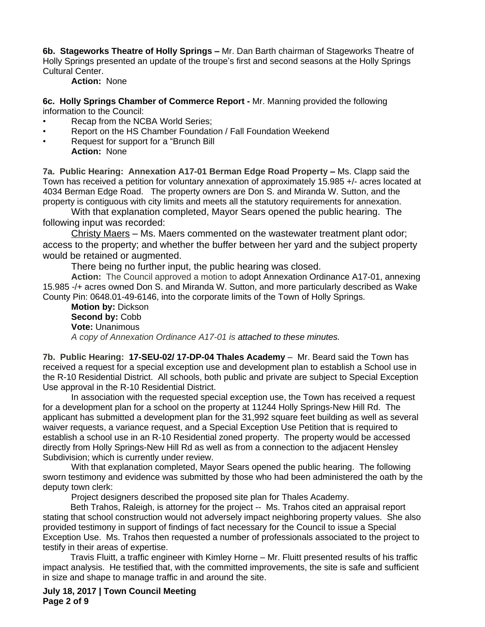**6b. Stageworks Theatre of Holly Springs –** Mr. Dan Barth chairman of Stageworks Theatre of Holly Springs presented an update of the troupe's first and second seasons at the Holly Springs Cultural Center.

### **Action:** None

**6c. Holly Springs Chamber of Commerce Report -** Mr. Manning provided the following information to the Council:

- Recap from the NCBA World Series:
- Report on the HS Chamber Foundation / Fall Foundation Weekend
- Request for support for a "Brunch Bill **Action:** None

**7a. Public Hearing: Annexation A17-01 Berman Edge Road Property –** Ms. Clapp said the Town has received a petition for voluntary annexation of approximately 15.985 +/- acres located at 4034 Berman Edge Road. The property owners are Don S. and Miranda W. Sutton, and the property is contiguous with city limits and meets all the statutory requirements for annexation.

With that explanation completed, Mayor Sears opened the public hearing. The following input was recorded:

Christy Maers – Ms. Maers commented on the wastewater treatment plant odor; access to the property; and whether the buffer between her yard and the subject property would be retained or augmented.

There being no further input, the public hearing was closed.

**Action:** The Council approved a motion to adopt Annexation Ordinance A17-01, annexing 15.985 -/+ acres owned Don S. and Miranda W. Sutton, and more particularly described as Wake County Pin: 0648.01-49-6146, into the corporate limits of the Town of Holly Springs.

**Motion by:** Dickson **Second by:** Cobb **Vote:** Unanimous *A copy of Annexation Ordinance A17-01 is attached to these minutes.*

**7b. Public Hearing: 17-SEU-02/ 17-DP-04 Thales Academy** – Mr. Beard said the Town has received a request for a special exception use and development plan to establish a School use in the R-10 Residential District. All schools, both public and private are subject to Special Exception Use approval in the R-10 Residential District.

In association with the requested special exception use, the Town has received a request for a development plan for a school on the property at 11244 Holly Springs-New Hill Rd. The applicant has submitted a development plan for the 31,992 square feet building as well as several waiver requests, a variance request, and a Special Exception Use Petition that is required to establish a school use in an R-10 Residential zoned property. The property would be accessed directly from Holly Springs-New Hill Rd as well as from a connection to the adjacent Hensley Subdivision; which is currently under review.

With that explanation completed, Mayor Sears opened the public hearing. The following sworn testimony and evidence was submitted by those who had been administered the oath by the deputy town clerk:

Project designers described the proposed site plan for Thales Academy.

Beth Trahos, Raleigh, is attorney for the project -- Ms. Trahos cited an appraisal report stating that school construction would not adversely impact neighboring property values. She also provided testimony in support of findings of fact necessary for the Council to issue a Special Exception Use. Ms. Trahos then requested a number of professionals associated to the project to testify in their areas of expertise.

Travis Fluitt, a traffic engineer with Kimley Horne – Mr. Fluitt presented results of his traffic impact analysis. He testified that, with the committed improvements, the site is safe and sufficient in size and shape to manage traffic in and around the site.

**July 18, 2017 | Town Council Meeting Page 2 of 9**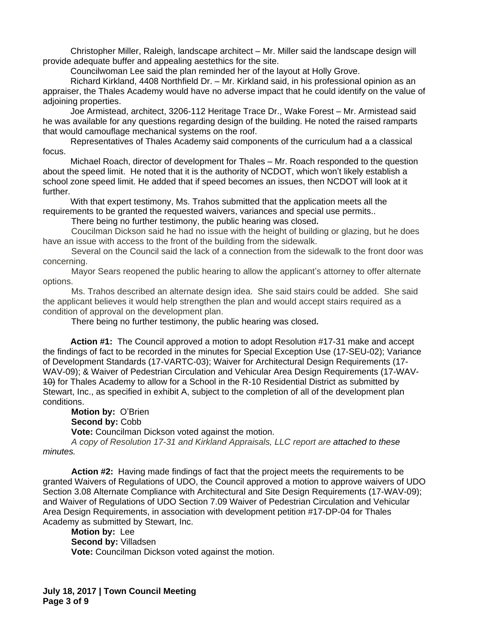Christopher Miller, Raleigh, landscape architect – Mr. Miller said the landscape design will provide adequate buffer and appealing aestethics for the site.

Councilwoman Lee said the plan reminded her of the layout at Holly Grove.

Richard Kirkland, 4408 Northfield Dr. – Mr. Kirkland said, in his professional opinion as an appraiser, the Thales Academy would have no adverse impact that he could identify on the value of adjoining properties.

Joe Armistead, architect, 3206-112 Heritage Trace Dr., Wake Forest – Mr. Armistead said he was available for any questions regarding design of the building. He noted the raised ramparts that would camouflage mechanical systems on the roof.

Representatives of Thales Academy said components of the curriculum had a a classical focus.

Michael Roach, director of development for Thales – Mr. Roach responded to the question about the speed limit. He noted that it is the authority of NCDOT, which won't likely establish a school zone speed limit. He added that if speed becomes an issues, then NCDOT will look at it further.

With that expert testimony, Ms. Trahos submitted that the application meets all the requirements to be granted the requested waivers, variances and special use permits..

There being no further testimony, the public hearing was closed**.**

Coucilman Dickson said he had no issue with the height of building or glazing, but he does have an issue with access to the front of the building from the sidewalk.

Several on the Council said the lack of a connection from the sidewalk to the front door was concerning.

Mayor Sears reopened the public hearing to allow the applicant's attorney to offer alternate options.

Ms. Trahos described an alternate design idea. She said stairs could be added. She said the applicant believes it would help strengthen the plan and would accept stairs required as a condition of approval on the development plan.

There being no further testimony, the public hearing was closed**.**

**Action #1:** The Council approved a motion to adopt Resolution #17-31 make and accept the findings of fact to be recorded in the minutes for Special Exception Use (17-SEU-02); Variance of Development Standards (17-VARTC-03); Waiver for Architectural Design Requirements (17- WAV-09); & Waiver of Pedestrian Circulation and Vehicular Area Design Requirements (17-WAV-10) for Thales Academy to allow for a School in the R-10 Residential District as submitted by Stewart, Inc., as specified in exhibit A, subject to the completion of all of the development plan conditions.

**Motion by:** O'Brien Second by: Cobb **Vote:** Councilman Dickson voted against the motion.

*A copy of Resolution 17-31 and Kirkland Appraisals, LLC report are attached to these minutes.*

**Action #2:** Having made findings of fact that the project meets the requirements to be granted Waivers of Regulations of UDO, the Council approved a motion to approve waivers of UDO Section 3.08 Alternate Compliance with Architectural and Site Design Requirements (17-WAV-09); and Waiver of Regulations of UDO Section 7.09 Waiver of Pedestrian Circulation and Vehicular Area Design Requirements, in association with development petition #17-DP-04 for Thales Academy as submitted by Stewart, Inc.

**Motion by:** Lee **Second by:** Villadsen **Vote:** Councilman Dickson voted against the motion.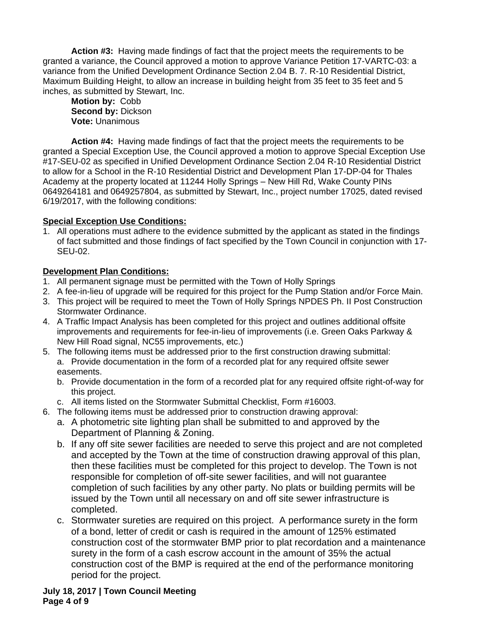**Action #3:** Having made findings of fact that the project meets the requirements to be granted a variance, the Council approved a motion to approve Variance Petition 17-VARTC-03: a variance from the Unified Development Ordinance Section 2.04 B. 7. R-10 Residential District, Maximum Building Height, to allow an increase in building height from 35 feet to 35 feet and 5 inches, as submitted by Stewart, Inc.

**Motion by:** Cobb **Second by:** Dickson **Vote:** Unanimous

**Action #4:** Having made findings of fact that the project meets the requirements to be granted a Special Exception Use, the Council approved a motion to approve Special Exception Use #17-SEU-02 as specified in Unified Development Ordinance Section 2.04 R-10 Residential District to allow for a School in the R-10 Residential District and Development Plan 17-DP-04 for Thales Academy at the property located at 11244 Holly Springs – New Hill Rd, Wake County PINs 0649264181 and 0649257804, as submitted by Stewart, Inc., project number 17025, dated revised 6/19/2017, with the following conditions:

## **Special Exception Use Conditions:**

1. All operations must adhere to the evidence submitted by the applicant as stated in the findings of fact submitted and those findings of fact specified by the Town Council in conjunction with 17- SEU-02.

# **Development Plan Conditions:**

- 1. All permanent signage must be permitted with the Town of Holly Springs
- 2. A fee-in-lieu of upgrade will be required for this project for the Pump Station and/or Force Main.
- 3. This project will be required to meet the Town of Holly Springs NPDES Ph. II Post Construction Stormwater Ordinance.
- 4. A Traffic Impact Analysis has been completed for this project and outlines additional offsite improvements and requirements for fee-in-lieu of improvements (i.e. Green Oaks Parkway & New Hill Road signal, NC55 improvements, etc.)
- 5. The following items must be addressed prior to the first construction drawing submittal: a. Provide documentation in the form of a recorded plat for any required offsite sewer easements.
	- b. Provide documentation in the form of a recorded plat for any required offsite right-of-way for this project.
	- c. All items listed on the Stormwater Submittal Checklist, Form #16003.
- 6. The following items must be addressed prior to construction drawing approval:
	- a. A photometric site lighting plan shall be submitted to and approved by the Department of Planning & Zoning.
	- b. If any off site sewer facilities are needed to serve this project and are not completed and accepted by the Town at the time of construction drawing approval of this plan, then these facilities must be completed for this project to develop. The Town is not responsible for completion of off-site sewer facilities, and will not guarantee completion of such facilities by any other party. No plats or building permits will be issued by the Town until all necessary on and off site sewer infrastructure is completed.
	- c. Stormwater sureties are required on this project. A performance surety in the form of a bond, letter of credit or cash is required in the amount of 125% estimated construction cost of the stormwater BMP prior to plat recordation and a maintenance surety in the form of a cash escrow account in the amount of 35% the actual construction cost of the BMP is required at the end of the performance monitoring period for the project.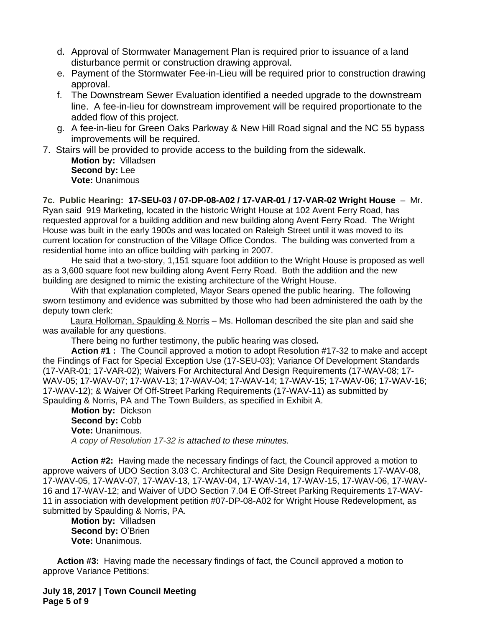- d. Approval of Stormwater Management Plan is required prior to issuance of a land disturbance permit or construction drawing approval.
- e. Payment of the Stormwater Fee-in-Lieu will be required prior to construction drawing approval.
- f. The Downstream Sewer Evaluation identified a needed upgrade to the downstream line. A fee-in-lieu for downstream improvement will be required proportionate to the added flow of this project.
- g. A fee-in-lieu for Green Oaks Parkway & New Hill Road signal and the NC 55 bypass improvements will be required.
- 7. Stairs will be provided to provide access to the building from the sidewalk. **Motion by:** Villadsen **Second by:** Lee **Vote:** Unanimous

**7c. Public Hearing: 17-SEU-03 / 07-DP-08-A02 / 17-VAR-01 / 17-VAR-02 Wright House** – Mr. Ryan said 919 Marketing, located in the historic Wright House at 102 Avent Ferry Road, has requested approval for a building addition and new building along Avent Ferry Road. The Wright House was built in the early 1900s and was located on Raleigh Street until it was moved to its current location for construction of the Village Office Condos. The building was converted from a residential home into an office building with parking in 2007.

He said that a two-story, 1,151 square foot addition to the Wright House is proposed as well as a 3,600 square foot new building along Avent Ferry Road. Both the addition and the new building are designed to mimic the existing architecture of the Wright House.

With that explanation completed, Mayor Sears opened the public hearing. The following sworn testimony and evidence was submitted by those who had been administered the oath by the deputy town clerk:

Laura Holloman, Spaulding & Norris – Ms. Holloman described the site plan and said she was available for any questions.

There being no further testimony, the public hearing was closed**.**

**Action #1 :** The Council approved a motion to adopt Resolution #17-32 to make and accept the Findings of Fact for Special Exception Use (17-SEU-03); Variance Of Development Standards (17-VAR-01; 17-VAR-02); Waivers For Architectural And Design Requirements (17-WAV-08; 17- WAV-05; 17-WAV-07; 17-WAV-13; 17-WAV-04; 17-WAV-14; 17-WAV-15; 17-WAV-06; 17-WAV-16; 17-WAV-12); & Waiver Of Off-Street Parking Requirements (17-WAV-11) as submitted by Spaulding & Norris, PA and The Town Builders, as specified in Exhibit A.

**Motion by:** Dickson **Second by:** Cobb **Vote:** Unanimous. *A copy of Resolution 17-32 is attached to these minutes.*

**Action #2:** Having made the necessary findings of fact, the Council approved a motion to approve waivers of UDO Section 3.03 C. Architectural and Site Design Requirements 17-WAV-08, 17-WAV-05, 17-WAV-07, 17-WAV-13, 17-WAV-04, 17-WAV-14, 17-WAV-15, 17-WAV-06, 17-WAV-16 and 17-WAV-12; and Waiver of UDO Section 7.04 E Off-Street Parking Requirements 17-WAV-11 in association with development petition #07-DP-08-A02 for Wright House Redevelopment, as submitted by Spaulding & Norris, PA.

**Motion by:** Villadsen **Second by: O'Brien Vote:** Unanimous.

**Action #3:** Having made the necessary findings of fact, the Council approved a motion to approve Variance Petitions:

**July 18, 2017 | Town Council Meeting Page 5 of 9**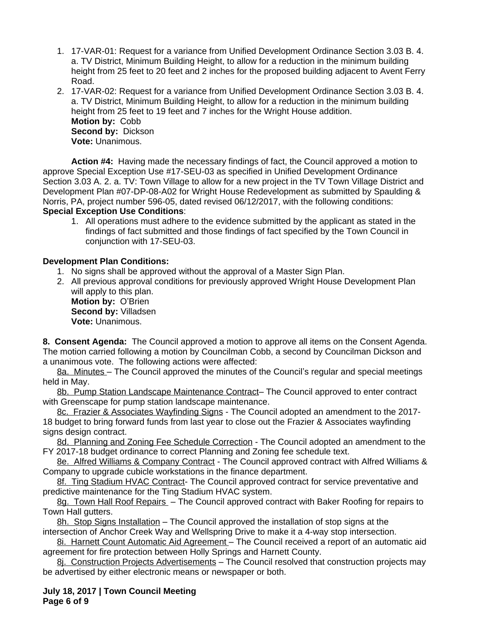- 1. 17-VAR-01: Request for a variance from Unified Development Ordinance Section 3.03 B. 4. a. TV District, Minimum Building Height, to allow for a reduction in the minimum building height from 25 feet to 20 feet and 2 inches for the proposed building adjacent to Avent Ferry Road.
- 2. 17-VAR-02: Request for a variance from Unified Development Ordinance Section 3.03 B. 4. a. TV District, Minimum Building Height, to allow for a reduction in the minimum building height from 25 feet to 19 feet and 7 inches for the Wright House addition. **Motion by:** Cobb **Second by:** Dickson **Vote:** Unanimous.

**Action #4:** Having made the necessary findings of fact, the Council approved a motion to approve Special Exception Use #17-SEU-03 as specified in Unified Development Ordinance Section 3.03 A. 2. a. TV: Town Village to allow for a new project in the TV Town Village District and Development Plan #07-DP-08-A02 for Wright House Redevelopment as submitted by Spaulding & Norris, PA, project number 596-05, dated revised 06/12/2017, with the following conditions: **Special Exception Use Conditions**:

1. All operations must adhere to the evidence submitted by the applicant as stated in the findings of fact submitted and those findings of fact specified by the Town Council in conjunction with 17-SEU-03.

## **Development Plan Conditions:**

- 1. No signs shall be approved without the approval of a Master Sign Plan.
- 2. All previous approval conditions for previously approved Wright House Development Plan will apply to this plan.

**Motion by:** O'Brien **Second by:** Villadsen **Vote:** Unanimous.

**8. Consent Agenda:** The Council approved a motion to approve all items on the Consent Agenda. The motion carried following a motion by Councilman Cobb, a second by Councilman Dickson and a unanimous vote. The following actions were affected:

8a. Minutes – The Council approved the minutes of the Council's regular and special meetings held in May.

8b. Pump Station Landscape Maintenance Contract- The Council approved to enter contract with Greenscape for pump station landscape maintenance.

8c. Frazier & Associates Wayfinding Signs - The Council adopted an amendment to the 2017- 18 budget to bring forward funds from last year to close out the Frazier & Associates wayfinding signs design contract.

8d. Planning and Zoning Fee Schedule Correction - The Council adopted an amendment to the FY 2017-18 budget ordinance to correct Planning and Zoning fee schedule text.

8e. Alfred Williams & Company Contract - The Council approved contract with Alfred Williams & Company to upgrade cubicle workstations in the finance department.

8f. Ting Stadium HVAC Contract- The Council approved contract for service preventative and predictive maintenance for the Ting Stadium HVAC system.

8g. Town Hall Roof Repairs - The Council approved contract with Baker Roofing for repairs to Town Hall gutters.

8h. Stop Signs Installation – The Council approved the installation of stop signs at the intersection of Anchor Creek Way and Wellspring Drive to make it a 4-way stop intersection.

8i. Harnett Count Automatic Aid Agreement – The Council received a report of an automatic aid agreement for fire protection between Holly Springs and Harnett County.

8j. Construction Projects Advertisements – The Council resolved that construction projects may be advertised by either electronic means or newspaper or both.

**July 18, 2017 | Town Council Meeting Page 6 of 9**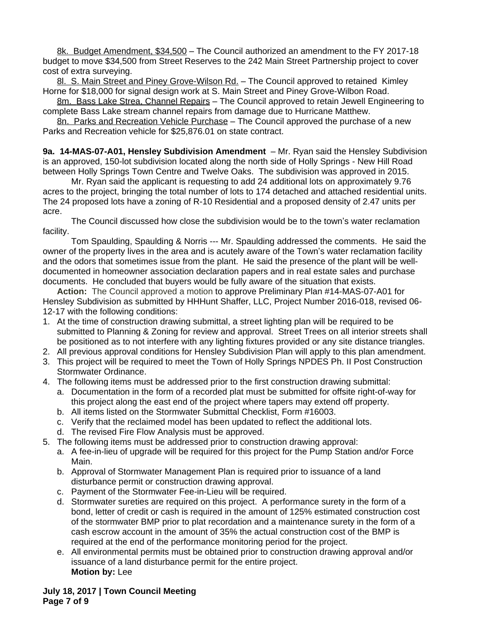8k. Budget Amendment, \$34,500 – The Council authorized an amendment to the FY 2017-18 budget to move \$34,500 from Street Reserves to the 242 Main Street Partnership project to cover cost of extra surveying.

8l. S. Main Street and Piney Grove-Wilson Rd. - The Council approved to retained Kimley Horne for \$18,000 for signal design work at S. Main Street and Piney Grove-Wilbon Road.

8m. Bass Lake Strea, Channel Repairs - The Council approved to retain Jewell Engineering to complete Bass Lake stream channel repairs from damage due to Hurricane Matthew.

8n. Parks and Recreation Vehicle Purchase - The Council approved the purchase of a new Parks and Recreation vehicle for \$25,876.01 on state contract.

**9a. 14-MAS-07-A01, Hensley Subdivision Amendment** – Mr. Ryan said the Hensley Subdivision is an approved, 150-lot subdivision located along the north side of Holly Springs - New Hill Road between Holly Springs Town Centre and Twelve Oaks. The subdivision was approved in 2015.

Mr. Ryan said the applicant is requesting to add 24 additional lots on approximately 9.76 acres to the project, bringing the total number of lots to 174 detached and attached residential units. The 24 proposed lots have a zoning of R-10 Residential and a proposed density of 2.47 units per acre.

The Council discussed how close the subdivision would be to the town's water reclamation facility.

Tom Spaulding, Spaulding & Norris --- Mr. Spaulding addressed the comments. He said the owner of the property lives in the area and is acutely aware of the Town's water reclamation facility and the odors that sometimes issue from the plant. He said the presence of the plant will be welldocumented in homeowner association declaration papers and in real estate sales and purchase documents. He concluded that buyers would be fully aware of the situation that exists.

**Action:** The Council approved a motion to approve Preliminary Plan #14-MAS-07-A01 for Hensley Subdivision as submitted by HHHunt Shaffer, LLC, Project Number 2016-018, revised 06- 12-17 with the following conditions:

- 1. At the time of construction drawing submittal, a street lighting plan will be required to be submitted to Planning & Zoning for review and approval. Street Trees on all interior streets shall be positioned as to not interfere with any lighting fixtures provided or any site distance triangles.
- 2. All previous approval conditions for Hensley Subdivision Plan will apply to this plan amendment.
- 3. This project will be required to meet the Town of Holly Springs NPDES Ph. II Post Construction Stormwater Ordinance.
- 4. The following items must be addressed prior to the first construction drawing submittal:
	- a. Documentation in the form of a recorded plat must be submitted for offsite right-of-way for this project along the east end of the project where tapers may extend off property.
	- b. All items listed on the Stormwater Submittal Checklist, Form #16003.
	- c. Verify that the reclaimed model has been updated to reflect the additional lots.
	- d. The revised Fire Flow Analysis must be approved.
- 5. The following items must be addressed prior to construction drawing approval:
	- a. A fee-in-lieu of upgrade will be required for this project for the Pump Station and/or Force Main.
	- b. Approval of Stormwater Management Plan is required prior to issuance of a land disturbance permit or construction drawing approval.
	- c. Payment of the Stormwater Fee-in-Lieu will be required.
	- d. Stormwater sureties are required on this project. A performance surety in the form of a bond, letter of credit or cash is required in the amount of 125% estimated construction cost of the stormwater BMP prior to plat recordation and a maintenance surety in the form of a cash escrow account in the amount of 35% the actual construction cost of the BMP is required at the end of the performance monitoring period for the project.
	- e. All environmental permits must be obtained prior to construction drawing approval and/or issuance of a land disturbance permit for the entire project. **Motion by:** Lee

**July 18, 2017 | Town Council Meeting Page 7 of 9**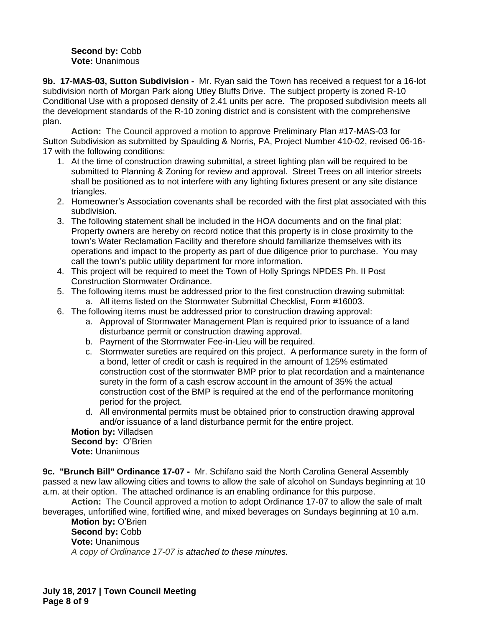#### Second by: Cobb **Vote:** Unanimous

**9b. 17-MAS-03, Sutton Subdivision -** Mr. Ryan said the Town has received a request for a 16-lot subdivision north of Morgan Park along Utley Bluffs Drive. The subject property is zoned R-10 Conditional Use with a proposed density of 2.41 units per acre. The proposed subdivision meets all the development standards of the R-10 zoning district and is consistent with the comprehensive plan.

**Action:** The Council approved a motion to approve Preliminary Plan #17-MAS-03 for Sutton Subdivision as submitted by Spaulding & Norris, PA, Project Number 410-02, revised 06-16- 17 with the following conditions:

- 1. At the time of construction drawing submittal, a street lighting plan will be required to be submitted to Planning & Zoning for review and approval. Street Trees on all interior streets shall be positioned as to not interfere with any lighting fixtures present or any site distance triangles.
- 2. Homeowner's Association covenants shall be recorded with the first plat associated with this subdivision.
- 3. The following statement shall be included in the HOA documents and on the final plat: Property owners are hereby on record notice that this property is in close proximity to the town's Water Reclamation Facility and therefore should familiarize themselves with its operations and impact to the property as part of due diligence prior to purchase. You may call the town's public utility department for more information.
- 4. This project will be required to meet the Town of Holly Springs NPDES Ph. II Post Construction Stormwater Ordinance.
- 5. The following items must be addressed prior to the first construction drawing submittal: a. All items listed on the Stormwater Submittal Checklist, Form #16003.
- 6. The following items must be addressed prior to construction drawing approval:
	- a. Approval of Stormwater Management Plan is required prior to issuance of a land disturbance permit or construction drawing approval.
	- b. Payment of the Stormwater Fee-in-Lieu will be required.
	- c. Stormwater sureties are required on this project. A performance surety in the form of a bond, letter of credit or cash is required in the amount of 125% estimated construction cost of the stormwater BMP prior to plat recordation and a maintenance surety in the form of a cash escrow account in the amount of 35% the actual construction cost of the BMP is required at the end of the performance monitoring period for the project.
	- d. All environmental permits must be obtained prior to construction drawing approval and/or issuance of a land disturbance permit for the entire project.

**Motion by:** Villadsen **Second by:** O'Brien **Vote:** Unanimous

**9c. "Brunch Bill" Ordinance 17-07 -** Mr. Schifano said the North Carolina General Assembly passed a new law allowing cities and towns to allow the sale of alcohol on Sundays beginning at 10 a.m. at their option. The attached ordinance is an enabling ordinance for this purpose.

**Action:** The Council approved a motion to adopt Ordinance 17-07 to allow the sale of malt beverages, unfortified wine, fortified wine, and mixed beverages on Sundays beginning at 10 a.m.

**Motion by:** O'Brien Second by: Cobb **Vote:** Unanimous *A copy of Ordinance 17-07 is attached to these minutes.*